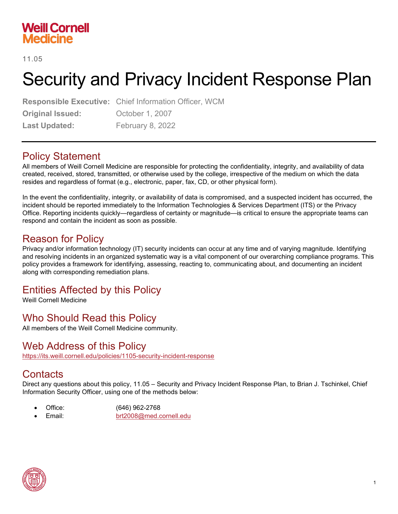# **Weill Cornell Medicine**

11.05

# Security and Privacy Incident Response Plan

**Responsible Executive:** Chief Information Officer, WCM **Original Issued: October 1, 2007** Last Updated: February 8, 2022

# Policy Statement

All members of Weill Cornell Medicine are responsible for protecting the confidentiality, integrity, and availability of data created, received, stored, transmitted, or otherwise used by the college, irrespective of the medium on which the data resides and regardless of format (e.g., electronic, paper, fax, CD, or other physical form).

In the event the confidentiality, integrity, or availability of data is compromised, and a suspected incident has occurred, the incident should be reported immediately to the Information Technologies & Services Department (ITS) or the Privacy Office. Reporting incidents quickly—regardless of certainty or magnitude—is critical to ensure the appropriate teams can respond and contain the incident as soon as possible.

# Reason for Policy

Privacy and/or information technology (IT) security incidents can occur at any time and of varying magnitude. Identifying and resolving incidents in an organized systematic way is a vital component of our overarching compliance programs. This policy provides a framework for identifying, assessing, reacting to, communicating about, and documenting an incident along with corresponding remediation plans.

# Entities Affected by this Policy

Weill Cornell Medicine

# Who Should Read this Policy

All members of the Weill Cornell Medicine community.

# Web Address of this Policy

<https://its.weill.cornell.edu/policies/1105-security-incident-response>

## **Contacts**

Direct any questions about this policy, 11.05 – Security and Privacy Incident Response Plan, to Brian J. Tschinkel, Chief Information Security Officer, using one of the methods below:

- Office: (646) 962-2768
	- Email: [brt2008@med.cornell.edu](mailto:brt2008@med.cornell.edu)

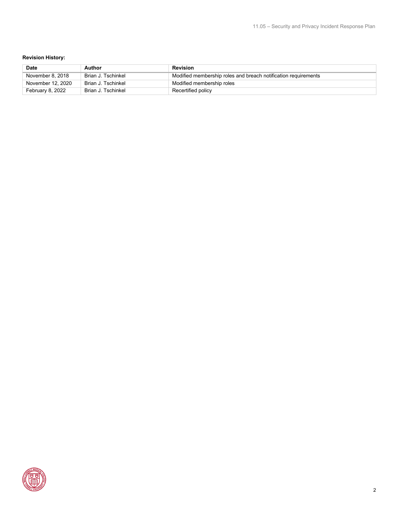#### **Revision History:**

| <b>Date</b>       | Author             | Revision                                                       |
|-------------------|--------------------|----------------------------------------------------------------|
| November 8, 2018  | Brian J. Tschinkel | Modified membership roles and breach notification requirements |
| November 12, 2020 | Brian J. Tschinkel | Modified membership roles                                      |
| February 8, 2022  | Brian J. Tschinkel | Recertified policy                                             |

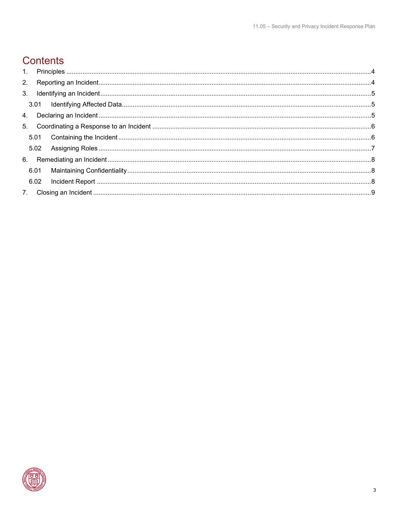# **Contents**

| 6.01 |  |  |
|------|--|--|
| 6.02 |  |  |
|      |  |  |

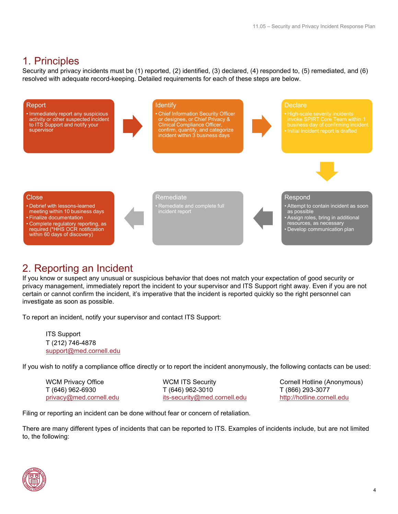# <span id="page-3-0"></span>1. Principles

Security and privacy incidents must be (1) reported, (2) identified, (3) declared, (4) responded to, (5) remediated, and (6) resolved with adequate record-keeping. Detailed requirements for each of these steps are below.



# <span id="page-3-1"></span>2. Reporting an Incident

If you know or suspect any unusual or suspicious behavior that does not match your expectation of good security or privacy management, immediately report the incident to your supervisor and ITS Support right away. Even if you are not certain or cannot confirm the incident, it's imperative that the incident is reported quickly so the right personnel can investigate as soon as possible.

To report an incident, notify your supervisor and contact ITS Support:

ITS Support T (212) 746-4878 [support@med.cornell.edu](mailto:support@med.cornell.edu)

If you wish to notify a compliance office directly or to report the incident anonymously, the following contacts can be used:

T (646) 962-6930 T (646) 962-3010 T (866) 293-3077 [privacy@med.cornell.edu](mailto:privacy@med.cornell.edu) [its-security@med.cornell.edu](mailto:its-security@med.cornell.edu) [http://hotline.cornell.edu](http://hotline.cornell.edu/)

WCM Privacy Office **WAG MILL WOM ITS Security** Cornell Hotline (Anonymous)

Filing or reporting an incident can be done without fear or concern of retaliation.

There are many different types of incidents that can be reported to ITS. Examples of incidents include, but are not limited to, the following:

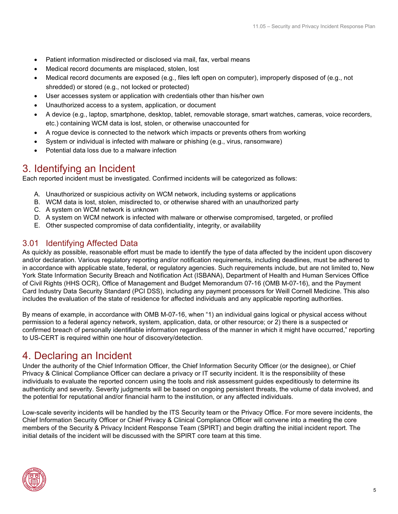- Patient information misdirected or disclosed via mail, fax, verbal means
- Medical record documents are misplaced, stolen, lost
- Medical record documents are exposed (e.g., files left open on computer), improperly disposed of (e.g., not shredded) or stored (e.g., not locked or protected)
- User accesses system or application with credentials other than his/her own
- Unauthorized access to a system, application, or document
- A device (e.g., laptop, smartphone, desktop, tablet, removable storage, smart watches, cameras, voice recorders, etc.) containing WCM data is lost, stolen, or otherwise unaccounted for
- A rogue device is connected to the network which impacts or prevents others from working
- System or individual is infected with malware or phishing (e.g., virus, ransomware)
- Potential data loss due to a malware infection

## <span id="page-4-0"></span>3. Identifying an Incident

Each reported incident must be investigated. Confirmed incidents will be categorized as follows:

- A. Unauthorized or suspicious activity on WCM network, including systems or applications
- B. WCM data is lost, stolen, misdirected to, or otherwise shared with an unauthorized party
- C. A system on WCM network is unknown
- D. A system on WCM network is infected with malware or otherwise compromised, targeted, or profiled
- E. Other suspected compromise of data confidentiality, integrity, or availability

## <span id="page-4-1"></span>3.01 Identifying Affected Data

As quickly as possible, reasonable effort must be made to identify the type of data affected by the incident upon discovery and/or declaration. Various regulatory reporting and/or notification requirements, including deadlines, must be adhered to in accordance with applicable state, federal, or regulatory agencies. Such requirements include, but are not limited to, New York State Information Security Breach and Notification Act (ISBANA), Department of Health and Human Services Office of Civil Rights (HHS OCR), Office of Management and Budget Memorandum 07-16 (OMB M-07-16), and the Payment Card Industry Data Security Standard (PCI DSS), including any payment processors for Weill Cornell Medicine. This also includes the evaluation of the state of residence for affected individuals and any applicable reporting authorities.

By means of example, in accordance with OMB M-07-16, when "1) an individual gains logical or physical access without permission to a federal agency network, system, application, data, or other resource; or 2) there is a suspected or confirmed breach of personally identifiable information regardless of the manner in which it might have occurred," reporting to US-CERT is required within one hour of discovery/detection.

## <span id="page-4-2"></span>4. Declaring an Incident

Under the authority of the Chief Information Officer, the Chief Information Security Officer (or the designee), or Chief Privacy & Clinical Compliance Officer can declare a privacy or IT security incident. It is the responsibility of these individuals to evaluate the reported concern using the tools and risk assessment guides expeditiously to determine its authenticity and severity. Severity judgments will be based on ongoing persistent threats, the volume of data involved, and the potential for reputational and/or financial harm to the institution, or any affected individuals.

Low-scale severity incidents will be handled by the ITS Security team or the Privacy Office. For more severe incidents, the Chief Information Security Officer or Chief Privacy & Clinical Compliance Officer will convene into a meeting the core members of the Security & Privacy Incident Response Team (SPIRT) and begin drafting the initial incident report. The initial details of the incident will be discussed with the SPIRT core team at this time.

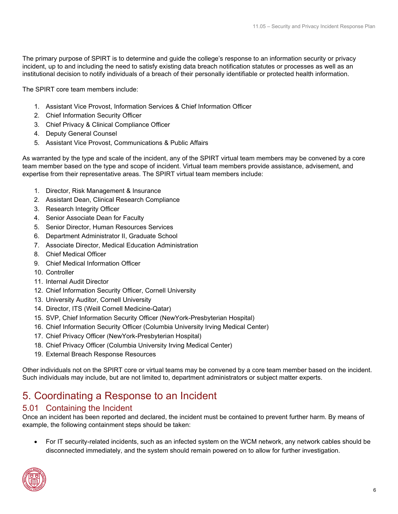The primary purpose of SPIRT is to determine and guide the college's response to an information security or privacy incident, up to and including the need to satisfy existing data breach notification statutes or processes as well as an institutional decision to notify individuals of a breach of their personally identifiable or protected health information.

The SPIRT core team members include:

- 1. Assistant Vice Provost, Information Services & Chief Information Officer
- 2. Chief Information Security Officer
- 3. Chief Privacy & Clinical Compliance Officer
- 4. Deputy General Counsel
- 5. Assistant Vice Provost, Communications & Public Affairs

As warranted by the type and scale of the incident, any of the SPIRT virtual team members may be convened by a core team member based on the type and scope of incident. Virtual team members provide assistance, advisement, and expertise from their representative areas. The SPIRT virtual team members include:

- 1. Director, Risk Management & Insurance
- 2. Assistant Dean, Clinical Research Compliance
- 3. Research Integrity Officer
- 4. Senior Associate Dean for Faculty
- 5. Senior Director, Human Resources Services
- 6. Department Administrator II, Graduate School
- 7. Associate Director, Medical Education Administration
- 8. Chief Medical Officer
- 9. Chief Medical Information Officer
- 10. Controller
- 11. Internal Audit Director
- 12. Chief Information Security Officer, Cornell University
- 13. University Auditor, Cornell University
- 14. Director, ITS (Weill Cornell Medicine-Qatar)
- 15. SVP, Chief Information Security Officer (NewYork-Presbyterian Hospital)
- 16. Chief Information Security Officer (Columbia University Irving Medical Center)
- 17. Chief Privacy Officer (NewYork-Presbyterian Hospital)
- 18. Chief Privacy Officer (Columbia University Irving Medical Center)
- 19. External Breach Response Resources

Other individuals not on the SPIRT core or virtual teams may be convened by a core team member based on the incident. Such individuals may include, but are not limited to, department administrators or subject matter experts.

# <span id="page-5-0"></span>5. Coordinating a Response to an Incident

## <span id="page-5-1"></span>5.01 Containing the Incident

Once an incident has been reported and declared, the incident must be contained to prevent further harm. By means of example, the following containment steps should be taken:

• For IT security-related incidents, such as an infected system on the WCM network, any network cables should be disconnected immediately, and the system should remain powered on to allow for further investigation.

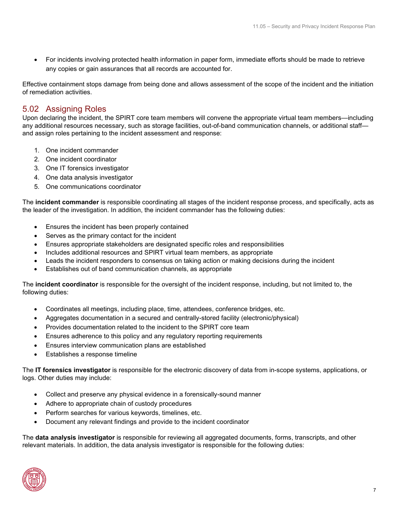• For incidents involving protected health information in paper form, immediate efforts should be made to retrieve any copies or gain assurances that all records are accounted for.

Effective containment stops damage from being done and allows assessment of the scope of the incident and the initiation of remediation activities.

### <span id="page-6-0"></span>5.02 Assigning Roles

Upon declaring the incident, the SPIRT core team members will convene the appropriate virtual team members—including any additional resources necessary, such as storage facilities, out-of-band communication channels, or additional staff and assign roles pertaining to the incident assessment and response:

- 1. One incident commander
- 2. One incident coordinator
- 3. One IT forensics investigator
- 4. One data analysis investigator
- 5. One communications coordinator

The **incident commander** is responsible coordinating all stages of the incident response process, and specifically, acts as the leader of the investigation. In addition, the incident commander has the following duties:

- Ensures the incident has been properly contained
- Serves as the primary contact for the incident
- Ensures appropriate stakeholders are designated specific roles and responsibilities
- Includes additional resources and SPIRT virtual team members, as appropriate
- Leads the incident responders to consensus on taking action or making decisions during the incident
- Establishes out of band communication channels, as appropriate

The **incident coordinator** is responsible for the oversight of the incident response, including, but not limited to, the following duties:

- Coordinates all meetings, including place, time, attendees, conference bridges, etc.
- Aggregates documentation in a secured and centrally-stored facility (electronic/physical)
- Provides documentation related to the incident to the SPIRT core team
- Ensures adherence to this policy and any regulatory reporting requirements
- Ensures interview communication plans are established
- Establishes a response timeline

The **IT forensics investigator** is responsible for the electronic discovery of data from in-scope systems, applications, or logs. Other duties may include:

- Collect and preserve any physical evidence in a forensically-sound manner
- Adhere to appropriate chain of custody procedures
- Perform searches for various keywords, timelines, etc.
- Document any relevant findings and provide to the incident coordinator

The **data analysis investigator** is responsible for reviewing all aggregated documents, forms, transcripts, and other relevant materials. In addition, the data analysis investigator is responsible for the following duties:

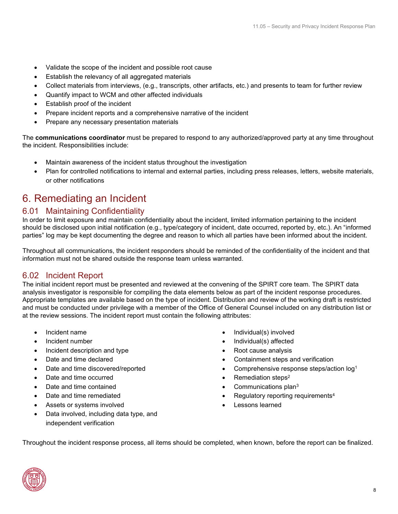- Validate the scope of the incident and possible root cause
- Establish the relevancy of all aggregated materials
- Collect materials from interviews, (e.g., transcripts, other artifacts, etc.) and presents to team for further review
- Quantify impact to WCM and other affected individuals
- Establish proof of the incident
- Prepare incident reports and a comprehensive narrative of the incident
- Prepare any necessary presentation materials

The **communications coordinator** must be prepared to respond to any authorized/approved party at any time throughout the incident. Responsibilities include:

- Maintain awareness of the incident status throughout the investigation
- Plan for controlled notifications to internal and external parties, including press releases, letters, website materials, or other notifications

# <span id="page-7-0"></span>6. Remediating an Incident

#### <span id="page-7-1"></span>6.01 Maintaining Confidentiality

In order to limit exposure and maintain confidentiality about the incident, limited information pertaining to the incident should be disclosed upon initial notification (e.g., type/category of incident, date occurred, reported by, etc.). An "informed parties" log may be kept documenting the degree and reason to which all parties have been informed about the incident.

Throughout all communications, the incident responders should be reminded of the confidentiality of the incident and that information must not be shared outside the response team unless warranted.

#### <span id="page-7-2"></span>6.02 Incident Report

The initial incident report must be presented and reviewed at the convening of the SPIRT core team. The SPIRT data analysis investigator is responsible for compiling the data elements below as part of the incident response procedures. Appropriate templates are available based on the type of incident. Distribution and review of the working draft is restricted and must be conducted under privilege with a member of the Office of General Counsel included on any distribution list or at the review sessions. The incident report must contain the following attributes:

- Incident name
- Incident number
- Incident description and type
- Date and time declared
- Date and time discovered/reported
- Date and time occurred
- Date and time contained
- Date and time remediated
- Assets or systems involved
- Data involved, including data type, and independent verification
- Individual(s) involved
- Individual(s) affected
- Root cause analysis
- Containment steps and verification
- Comprehensive response steps/action log1
- Remediation steps<sup>2</sup>
- Communications plan3
- Regulatory reporting requirements4
- Lessons learned

Throughout the incident response process, all items should be completed, when known, before the report can be finalized.